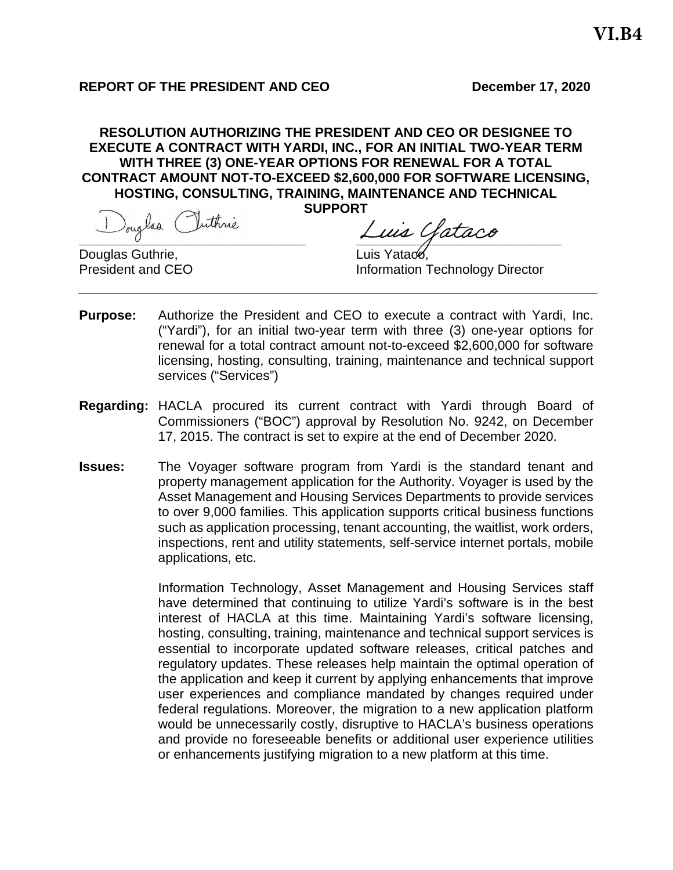## **REPORT OF THE PRESIDENT AND CEO** December 17, 2020

**RESOLUTION AUTHORIZING THE PRESIDENT AND CEO OR DESIGNEE TO EXECUTE A CONTRACT WITH YARDI, INC., FOR AN INITIAL TWO-YEAR TERM WITH THREE (3) ONE-YEAR OPTIONS FOR RENEWAL FOR A TOTAL CONTRACT AMOUNT NOT-TO-EXCEED \$2,600,000 FOR SOFTWARE LICENSING, HOSTING, CONSULTING, TRAINING, MAINTENANCE AND TECHNICAL SUPPORT**

Douglas (Juthnie **Luis Gataco**<br><u>Juglas Guthrie</u>, Euis Yataco

Douglas Guthrie,<br>President and CEO

**Information Technology Director** 

- **Purpose:** Authorize the President and CEO to execute a contract with Yardi, Inc. ("Yardi"), for an initial two-year term with three (3) one-year options for renewal for a total contract amount not-to-exceed \$2,600,000 for software licensing, hosting, consulting, training, maintenance and technical support services ("Services")
- **Regarding:** HACLA procured its current contract with Yardi through Board of Commissioners ("BOC") approval by Resolution No. 9242, on December 17, 2015. The contract is set to expire at the end of December 2020.
- **Issues:** The Voyager software program from Yardi is the standard tenant and property management application for the Authority. Voyager is used by the Asset Management and Housing Services Departments to provide services to over 9,000 families. This application supports critical business functions such as application processing, tenant accounting, the waitlist, work orders, inspections, rent and utility statements, self-service internet portals, mobile applications, etc.

Information Technology, Asset Management and Housing Services staff have determined that continuing to utilize Yardi's software is in the best interest of HACLA at this time. Maintaining Yardi's software licensing, hosting, consulting, training, maintenance and technical support services is essential to incorporate updated software releases, critical patches and regulatory updates. These releases help maintain the optimal operation of the application and keep it current by applying enhancements that improve user experiences and compliance mandated by changes required under federal regulations. Moreover, the migration to a new application platform would be unnecessarily costly, disruptive to HACLA's business operations and provide no foreseeable benefits or additional user experience utilities or enhancements justifying migration to a new platform at this time.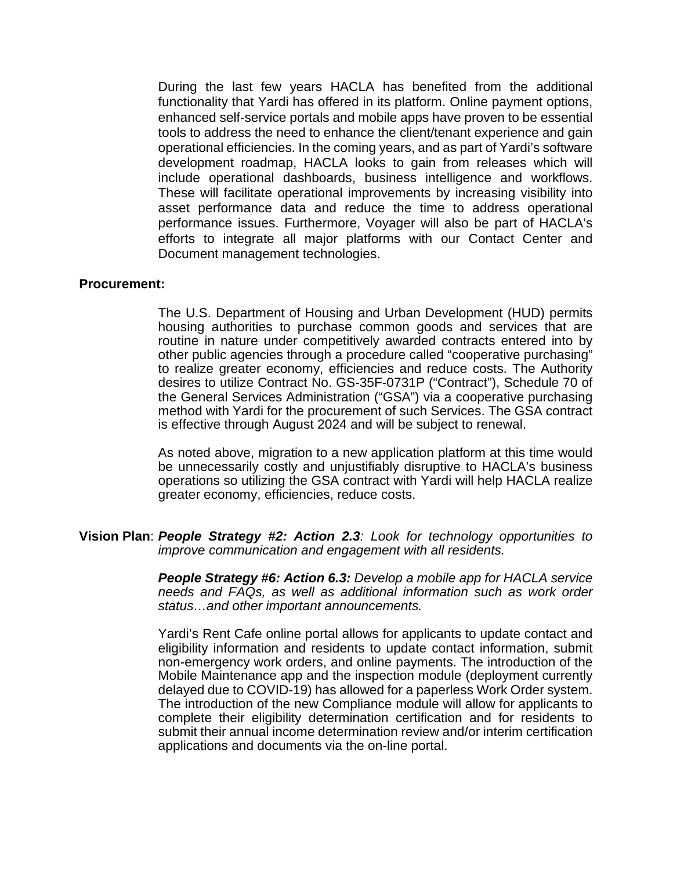During the last few years HACLA has benefited from the additional functionality that Yardi has offered in its platform. Online payment options, enhanced self-service portals and mobile apps have proven to be essential tools to address the need to enhance the client/tenant experience and gain operational efficiencies. In the coming years, and as part of Yardi's software development roadmap, HACLA looks to gain from releases which will include operational dashboards, business intelligence and workflows. These will facilitate operational improvements by increasing visibility into asset performance data and reduce the time to address operational performance issues. Furthermore, Voyager will also be part of HACLA's efforts to integrate all major platforms with our Contact Center and Document management technologies.

### **Procurement:**

The U.S. Department of Housing and Urban Development (HUD) permits housing authorities to purchase common goods and services that are routine in nature under competitively awarded contracts entered into by other public agencies through a procedure called "cooperative purchasing" to realize greater economy, efficiencies and reduce costs. The Authority desires to utilize Contract No. GS-35F-0731P ("Contract"), Schedule 70 of the General Services Administration ("GSA") via a cooperative purchasing method with Yardi for the procurement of such Services. The GSA contract is effective through August 2024 and will be subject to renewal.

As noted above, migration to a new application platform at this time would be unnecessarily costly and unjustifiably disruptive to HACLA's business operations so utilizing the GSA contract with Yardi will help HACLA realize greater economy, efficiencies, reduce costs.

#### **Vision Plan**: *People Strategy #2: Action 2.3: Look for technology opportunities to improve communication and engagement with all residents.*

*People Strategy #6: Action 6.3: Develop a mobile app for HACLA service needs and FAQs, as well as additional information such as work order status…and other important announcements.*

Yardi's Rent Cafe online portal allows for applicants to update contact and eligibility information and residents to update contact information, submit non-emergency work orders, and online payments. The introduction of the Mobile Maintenance app and the inspection module (deployment currently delayed due to COVID-19) has allowed for a paperless Work Order system. The introduction of the new Compliance module will allow for applicants to complete their eligibility determination certification and for residents to submit their annual income determination review and/or interim certification applications and documents via the on-line portal.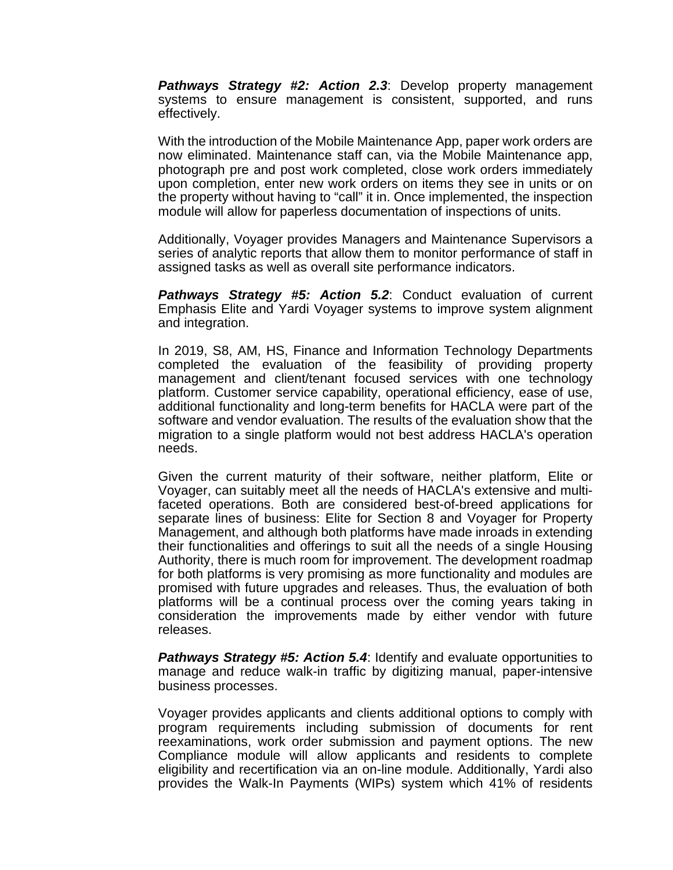*Pathways Strategy #2: Action 2.3*: Develop property management systems to ensure management is consistent, supported, and runs effectively.

With the introduction of the Mobile Maintenance App, paper work orders are now eliminated. Maintenance staff can, via the Mobile Maintenance app, photograph pre and post work completed, close work orders immediately upon completion, enter new work orders on items they see in units or on the property without having to "call" it in. Once implemented, the inspection module will allow for paperless documentation of inspections of units.

Additionally, Voyager provides Managers and Maintenance Supervisors a series of analytic reports that allow them to monitor performance of staff in assigned tasks as well as overall site performance indicators.

*Pathways Strategy #5: Action 5.2*: Conduct evaluation of current Emphasis Elite and Yardi Voyager systems to improve system alignment and integration.

In 2019, S8, AM, HS, Finance and Information Technology Departments completed the evaluation of the feasibility of providing property management and client/tenant focused services with one technology platform. Customer service capability, operational efficiency, ease of use, additional functionality and long-term benefits for HACLA were part of the software and vendor evaluation. The results of the evaluation show that the migration to a single platform would not best address HACLA's operation needs.

Given the current maturity of their software, neither platform, Elite or Voyager, can suitably meet all the needs of HACLA's extensive and multifaceted operations. Both are considered best-of-breed applications for separate lines of business: Elite for Section 8 and Voyager for Property Management, and although both platforms have made inroads in extending their functionalities and offerings to suit all the needs of a single Housing Authority, there is much room for improvement. The development roadmap for both platforms is very promising as more functionality and modules are promised with future upgrades and releases. Thus, the evaluation of both platforms will be a continual process over the coming years taking in consideration the improvements made by either vendor with future releases.

**Pathways Strategy #5: Action 5.4:** Identify and evaluate opportunities to manage and reduce walk-in traffic by digitizing manual, paper-intensive business processes.

Voyager provides applicants and clients additional options to comply with program requirements including submission of documents for rent reexaminations, work order submission and payment options. The new Compliance module will allow applicants and residents to complete eligibility and recertification via an on-line module. Additionally, Yardi also provides the Walk-In Payments (WIPs) system which 41% of residents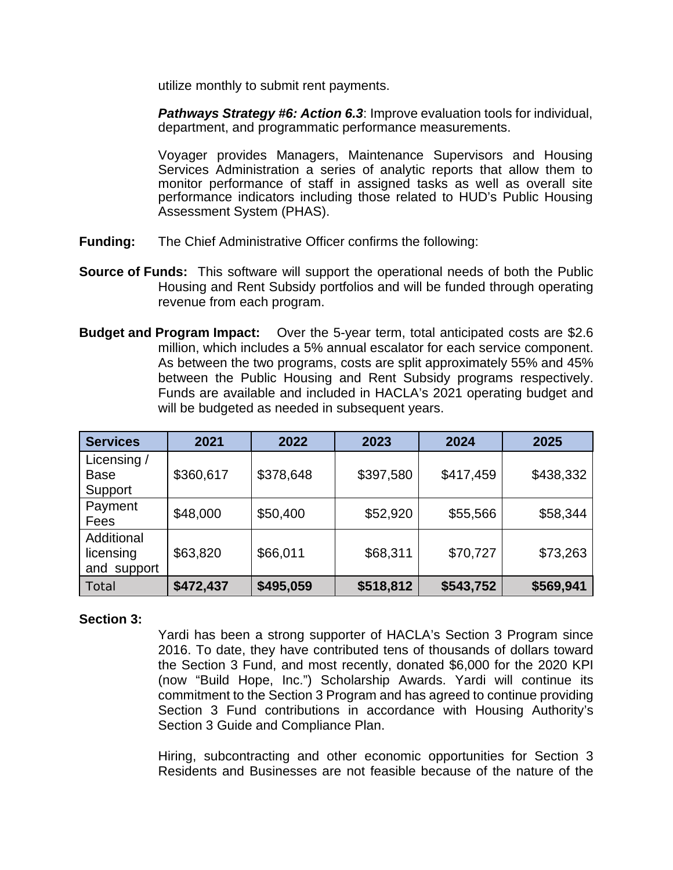utilize monthly to submit rent payments.

*Pathways Strategy #6: Action 6.3*: Improve evaluation tools for individual, department, and programmatic performance measurements.

Voyager provides Managers, Maintenance Supervisors and Housing Services Administration a series of analytic reports that allow them to monitor performance of staff in assigned tasks as well as overall site performance indicators including those related to HUD's Public Housing Assessment System (PHAS).

- **Funding:** The Chief Administrative Officer confirms the following:
- **Source of Funds:** This software will support the operational needs of both the Public Housing and Rent Subsidy portfolios and will be funded through operating revenue from each program.
- **Budget and Program Impact:** Over the 5-year term, total anticipated costs are \$2.6 million, which includes a 5% annual escalator for each service component. As between the two programs, costs are split approximately 55% and 45% between the Public Housing and Rent Subsidy programs respectively. Funds are available and included in HACLA's 2021 operating budget and will be budgeted as needed in subsequent years.

| <b>Services</b>                        | 2021      | 2022      | 2023      | 2024      | 2025      |
|----------------------------------------|-----------|-----------|-----------|-----------|-----------|
| Licensing /<br><b>Base</b><br>Support  | \$360,617 | \$378,648 | \$397,580 | \$417,459 | \$438,332 |
| Payment<br>Fees                        | \$48,000  | \$50,400  | \$52,920  | \$55,566  | \$58,344  |
| Additional<br>licensing<br>and support | \$63,820  | \$66,011  | \$68,311  | \$70,727  | \$73,263  |
| Total                                  | \$472,437 | \$495,059 | \$518,812 | \$543,752 | \$569,941 |

### **Section 3:**

Yardi has been a strong supporter of HACLA's Section 3 Program since 2016. To date, they have contributed tens of thousands of dollars toward the Section 3 Fund, and most recently, donated \$6,000 for the 2020 KPI (now "Build Hope, Inc.") Scholarship Awards. Yardi will continue its commitment to the Section 3 Program and has agreed to continue providing Section 3 Fund contributions in accordance with Housing Authority's Section 3 Guide and Compliance Plan.

Hiring, subcontracting and other economic opportunities for Section 3 Residents and Businesses are not feasible because of the nature of the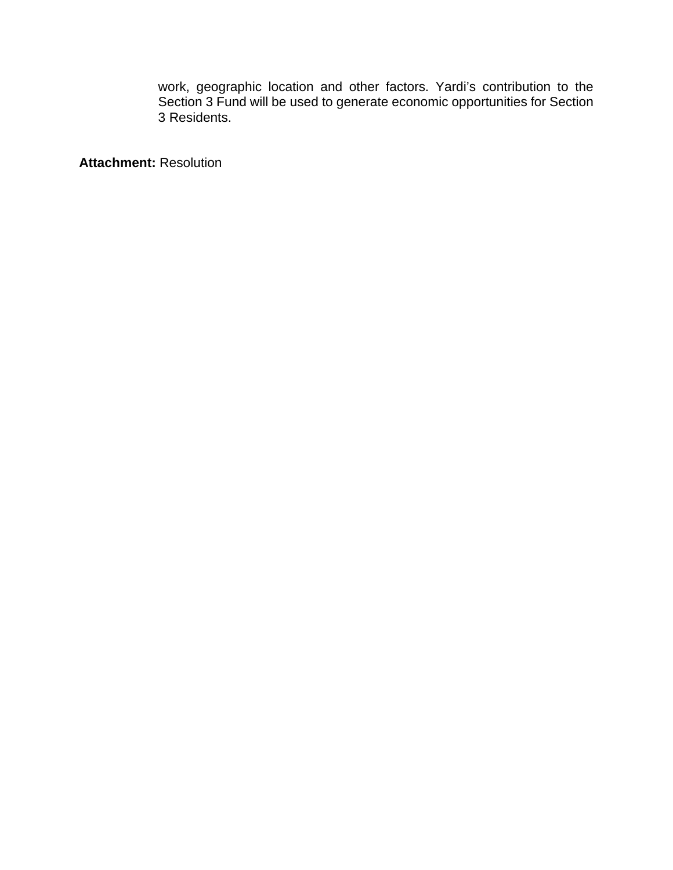work, geographic location and other factors. Yardi's contribution to the Section 3 Fund will be used to generate economic opportunities for Section 3 Residents.

**Attachment:** Resolution